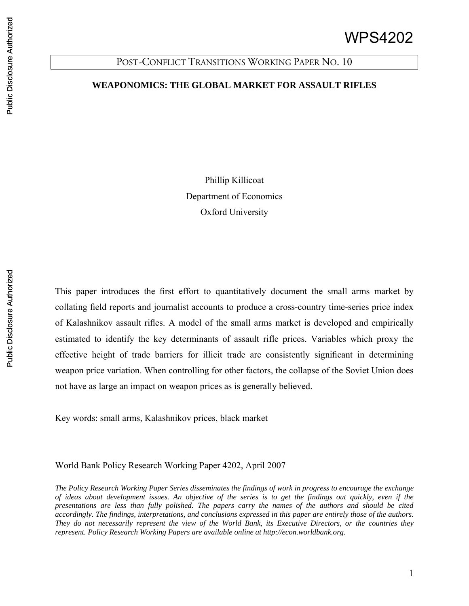## POST-CONFLICT TRANSITIONS WORKING PAPER NO. 10

## **WEAPONOMICS: THE GLOBAL MARKET FOR ASSAULT RIFLES**

Phillip Killicoat Department of Economics Oxford University

This paper introduces the first effort to quantitatively document the small arms market by collating field reports and journalist accounts to produce a cross-country time-series price index of Kalashnikov assault rifles. A model of the small arms market is developed and empirically estimated to identify the key determinants of assault rifle prices. Variables which proxy the effective height of trade barriers for illicit trade are consistently significant in determining weapon price variation. When controlling for other factors, the collapse of the Soviet Union does not have as large an impact on weapon prices as is generally believed.

Key words: small arms, Kalashnikov prices, black market

World Bank Policy Research Working Paper 4202, April 2007

*The Policy Research Working Paper Series disseminates the findings of work in progress to encourage the exchange of ideas about development issues. An objective of the series is to get the findings out quickly, even if the presentations are less than fully polished. The papers carry the names of the authors and should be cited accordingly. The findings, interpretations, and conclusions expressed in this paper are entirely those of the authors. They do not necessarily represent the view of the World Bank, its Executive Directors, or the countries they represent. Policy Research Working Papers are available online at http://econ.worldbank.org.* 

1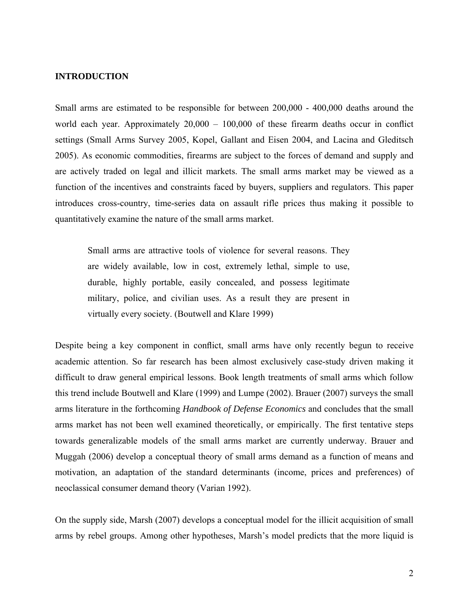## **INTRODUCTION**

Small arms are estimated to be responsible for between 200,000 - 400,000 deaths around the world each year. Approximately 20,000 – 100,000 of these firearm deaths occur in conflict settings (Small Arms Survey 2005, Kopel, Gallant and Eisen 2004, and Lacina and Gleditsch 2005). As economic commodities, firearms are subject to the forces of demand and supply and are actively traded on legal and illicit markets. The small arms market may be viewed as a function of the incentives and constraints faced by buyers, suppliers and regulators. This paper introduces cross-country, time-series data on assault rifle prices thus making it possible to quantitatively examine the nature of the small arms market.

Small arms are attractive tools of violence for several reasons. They are widely available, low in cost, extremely lethal, simple to use, durable, highly portable, easily concealed, and possess legitimate military, police, and civilian uses. As a result they are present in virtually every society. (Boutwell and Klare 1999)

Despite being a key component in conflict, small arms have only recently begun to receive academic attention. So far research has been almost exclusively case-study driven making it difficult to draw general empirical lessons. Book length treatments of small arms which follow this trend include Boutwell and Klare (1999) and Lumpe (2002). Brauer (2007) surveys the small arms literature in the forthcoming *Handbook of Defense Economics* and concludes that the small arms market has not been well examined theoretically, or empirically. The first tentative steps towards generalizable models of the small arms market are currently underway. Brauer and Muggah (2006) develop a conceptual theory of small arms demand as a function of means and motivation, an adaptation of the standard determinants (income, prices and preferences) of neoclassical consumer demand theory (Varian 1992).

On the supply side, Marsh (2007) develops a conceptual model for the illicit acquisition of small arms by rebel groups. Among other hypotheses, Marsh's model predicts that the more liquid is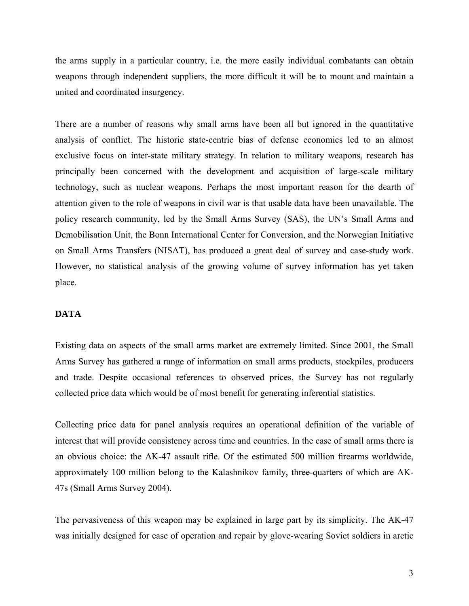the arms supply in a particular country, i.e. the more easily individual combatants can obtain weapons through independent suppliers, the more difficult it will be to mount and maintain a united and coordinated insurgency.

There are a number of reasons why small arms have been all but ignored in the quantitative analysis of conflict. The historic state-centric bias of defense economics led to an almost exclusive focus on inter-state military strategy. In relation to military weapons, research has principally been concerned with the development and acquisition of large-scale military technology, such as nuclear weapons. Perhaps the most important reason for the dearth of attention given to the role of weapons in civil war is that usable data have been unavailable. The policy research community, led by the Small Arms Survey (SAS), the UN's Small Arms and Demobilisation Unit, the Bonn International Center for Conversion, and the Norwegian Initiative on Small Arms Transfers (NISAT), has produced a great deal of survey and case-study work. However, no statistical analysis of the growing volume of survey information has yet taken place.

#### **DATA**

Existing data on aspects of the small arms market are extremely limited. Since 2001, the Small Arms Survey has gathered a range of information on small arms products, stockpiles, producers and trade. Despite occasional references to observed prices, the Survey has not regularly collected price data which would be of most benefit for generating inferential statistics.

Collecting price data for panel analysis requires an operational definition of the variable of interest that will provide consistency across time and countries. In the case of small arms there is an obvious choice: the AK-47 assault rifle. Of the estimated 500 million firearms worldwide, approximately 100 million belong to the Kalashnikov family, three-quarters of which are AK-47s (Small Arms Survey 2004).

The pervasiveness of this weapon may be explained in large part by its simplicity. The AK-47 was initially designed for ease of operation and repair by glove-wearing Soviet soldiers in arctic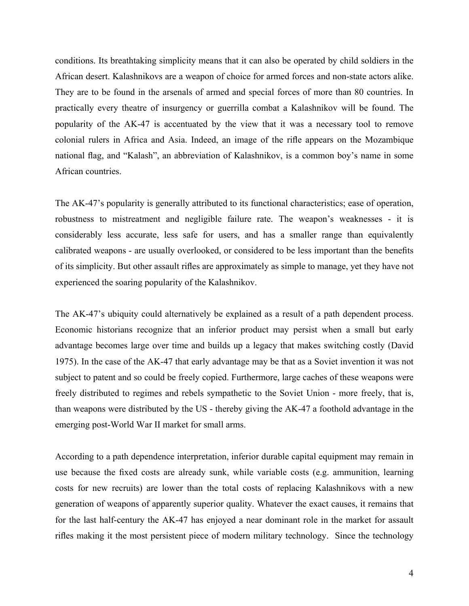conditions. Its breathtaking simplicity means that it can also be operated by child soldiers in the African desert. Kalashnikovs are a weapon of choice for armed forces and non-state actors alike. They are to be found in the arsenals of armed and special forces of more than 80 countries. In practically every theatre of insurgency or guerrilla combat a Kalashnikov will be found. The popularity of the AK-47 is accentuated by the view that it was a necessary tool to remove colonial rulers in Africa and Asia. Indeed, an image of the rifle appears on the Mozambique national flag, and "Kalash", an abbreviation of Kalashnikov, is a common boy's name in some African countries.

The AK-47's popularity is generally attributed to its functional characteristics; ease of operation, robustness to mistreatment and negligible failure rate. The weapon's weaknesses - it is considerably less accurate, less safe for users, and has a smaller range than equivalently calibrated weapons - are usually overlooked, or considered to be less important than the benefits of its simplicity. But other assault rifles are approximately as simple to manage, yet they have not experienced the soaring popularity of the Kalashnikov.

The AK-47's ubiquity could alternatively be explained as a result of a path dependent process. Economic historians recognize that an inferior product may persist when a small but early advantage becomes large over time and builds up a legacy that makes switching costly (David 1975). In the case of the AK-47 that early advantage may be that as a Soviet invention it was not subject to patent and so could be freely copied. Furthermore, large caches of these weapons were freely distributed to regimes and rebels sympathetic to the Soviet Union - more freely, that is, than weapons were distributed by the US - thereby giving the AK-47 a foothold advantage in the emerging post-World War II market for small arms.

According to a path dependence interpretation, inferior durable capital equipment may remain in use because the fixed costs are already sunk, while variable costs (e.g. ammunition, learning costs for new recruits) are lower than the total costs of replacing Kalashnikovs with a new generation of weapons of apparently superior quality. Whatever the exact causes, it remains that for the last half-century the AK-47 has enjoyed a near dominant role in the market for assault rifles making it the most persistent piece of modern military technology. Since the technology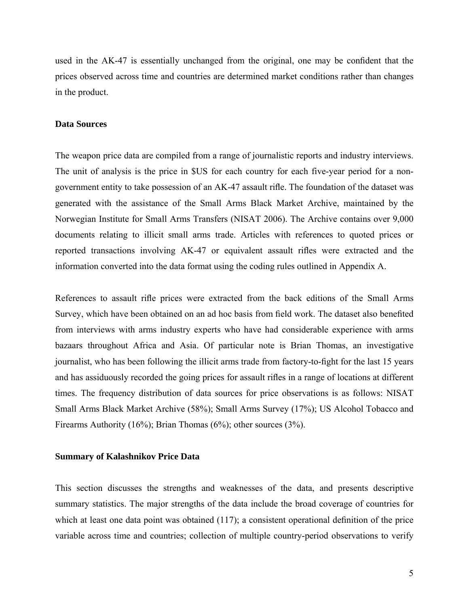used in the AK-47 is essentially unchanged from the original, one may be confident that the prices observed across time and countries are determined market conditions rather than changes in the product.

#### **Data Sources**

The weapon price data are compiled from a range of journalistic reports and industry interviews. The unit of analysis is the price in \$US for each country for each five-year period for a nongovernment entity to take possession of an AK-47 assault rifle. The foundation of the dataset was generated with the assistance of the Small Arms Black Market Archive, maintained by the Norwegian Institute for Small Arms Transfers (NISAT 2006). The Archive contains over 9,000 documents relating to illicit small arms trade. Articles with references to quoted prices or reported transactions involving AK-47 or equivalent assault rifles were extracted and the information converted into the data format using the coding rules outlined in Appendix A.

References to assault rifle prices were extracted from the back editions of the Small Arms Survey, which have been obtained on an ad hoc basis from field work. The dataset also benefited from interviews with arms industry experts who have had considerable experience with arms bazaars throughout Africa and Asia. Of particular note is Brian Thomas, an investigative journalist, who has been following the illicit arms trade from factory-to-fight for the last 15 years and has assiduously recorded the going prices for assault rifles in a range of locations at different times. The frequency distribution of data sources for price observations is as follows: NISAT Small Arms Black Market Archive (58%); Small Arms Survey (17%); US Alcohol Tobacco and Firearms Authority (16%); Brian Thomas (6%); other sources (3%).

#### **Summary of Kalashnikov Price Data**

This section discusses the strengths and weaknesses of the data, and presents descriptive summary statistics. The major strengths of the data include the broad coverage of countries for which at least one data point was obtained (117); a consistent operational definition of the price variable across time and countries; collection of multiple country-period observations to verify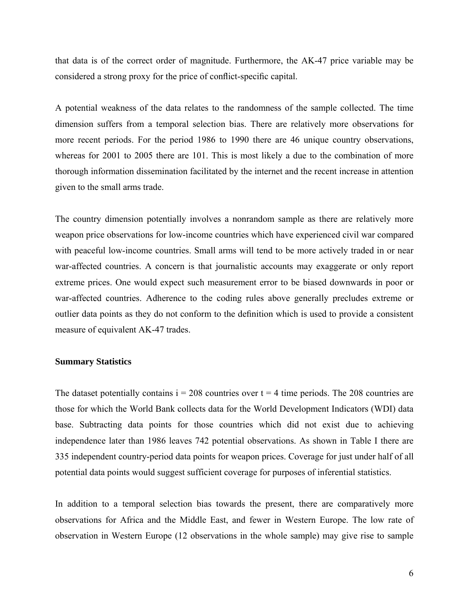that data is of the correct order of magnitude. Furthermore, the AK-47 price variable may be considered a strong proxy for the price of conflict-specific capital.

A potential weakness of the data relates to the randomness of the sample collected. The time dimension suffers from a temporal selection bias. There are relatively more observations for more recent periods. For the period 1986 to 1990 there are 46 unique country observations, whereas for 2001 to 2005 there are 101. This is most likely a due to the combination of more thorough information dissemination facilitated by the internet and the recent increase in attention given to the small arms trade.

The country dimension potentially involves a nonrandom sample as there are relatively more weapon price observations for low-income countries which have experienced civil war compared with peaceful low-income countries. Small arms will tend to be more actively traded in or near war-affected countries. A concern is that journalistic accounts may exaggerate or only report extreme prices. One would expect such measurement error to be biased downwards in poor or war-affected countries. Adherence to the coding rules above generally precludes extreme or outlier data points as they do not conform to the definition which is used to provide a consistent measure of equivalent AK-47 trades.

#### **Summary Statistics**

The dataset potentially contains  $i = 208$  countries over  $t = 4$  time periods. The 208 countries are those for which the World Bank collects data for the World Development Indicators (WDI) data base. Subtracting data points for those countries which did not exist due to achieving independence later than 1986 leaves 742 potential observations. As shown in Table I there are 335 independent country-period data points for weapon prices. Coverage for just under half of all potential data points would suggest sufficient coverage for purposes of inferential statistics.

In addition to a temporal selection bias towards the present, there are comparatively more observations for Africa and the Middle East, and fewer in Western Europe. The low rate of observation in Western Europe (12 observations in the whole sample) may give rise to sample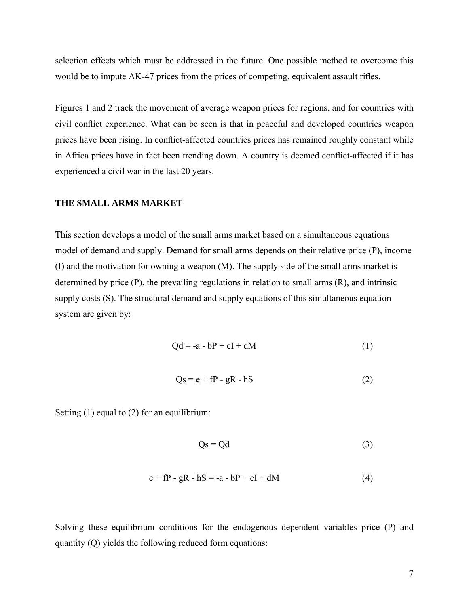selection effects which must be addressed in the future. One possible method to overcome this would be to impute AK-47 prices from the prices of competing, equivalent assault rifles.

Figures 1 and 2 track the movement of average weapon prices for regions, and for countries with civil conflict experience. What can be seen is that in peaceful and developed countries weapon prices have been rising. In conflict-affected countries prices has remained roughly constant while in Africa prices have in fact been trending down. A country is deemed conflict-affected if it has experienced a civil war in the last 20 years.

#### **THE SMALL ARMS MARKET**

This section develops a model of the small arms market based on a simultaneous equations model of demand and supply. Demand for small arms depends on their relative price (P), income (I) and the motivation for owning a weapon (M). The supply side of the small arms market is determined by price (P), the prevailing regulations in relation to small arms (R), and intrinsic supply costs (S). The structural demand and supply equations of this simultaneous equation system are given by:

$$
Qd = -a - bP + cI + dM \tag{1}
$$

$$
Qs = e + fP - gR - hS
$$
 (2)

Setting (1) equal to (2) for an equilibrium:

$$
Qs = Qd \tag{3}
$$

$$
e + fP - gR - hS = -a - bP + cI + dM \tag{4}
$$

Solving these equilibrium conditions for the endogenous dependent variables price (P) and quantity (Q) yields the following reduced form equations: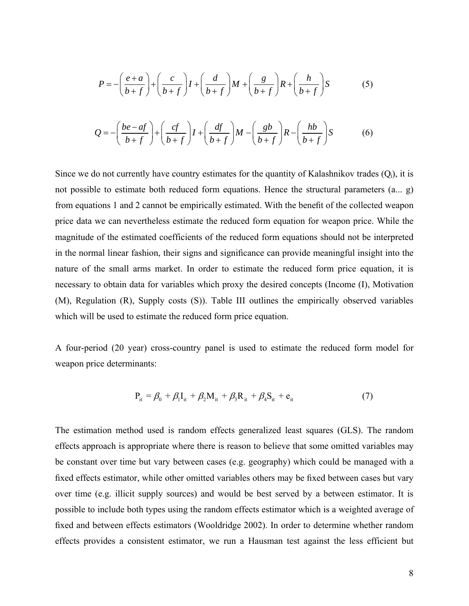$$
P = -\left(\frac{e+a}{b+f}\right) + \left(\frac{c}{b+f}\right)I + \left(\frac{d}{b+f}\right)M + \left(\frac{g}{b+f}\right)R + \left(\frac{h}{b+f}\right)S
$$
(5)  

$$
Q = -\left(\frac{be-af}{b+f}\right) + \left(\frac{cf}{b+f}\right)I + \left(\frac{df}{b+f}\right)M - \left(\frac{gb}{b+f}\right)R - \left(\frac{hb}{b+f}\right)S
$$
(6)

Since we do not currently have country estimates for the quantity of Kalashnikov trades  $(Q<sub>i</sub>)$ , it is not possible to estimate both reduced form equations. Hence the structural parameters (a... g) from equations 1 and 2 cannot be empirically estimated. With the benefit of the collected weapon price data we can nevertheless estimate the reduced form equation for weapon price. While the magnitude of the estimated coefficients of the reduced form equations should not be interpreted in the normal linear fashion, their signs and significance can provide meaningful insight into the nature of the small arms market. In order to estimate the reduced form price equation, it is necessary to obtain data for variables which proxy the desired concepts (Income (I), Motivation (M), Regulation (R), Supply costs (S)). Table III outlines the empirically observed variables which will be used to estimate the reduced form price equation.

A four-period (20 year) cross-country panel is used to estimate the reduced form model for weapon price determinants:

$$
P_{it} = \beta_0 + \beta_1 I_{it} + \beta_2 M_{it} + \beta_3 R_{it} + \beta_4 S_{it} + e_{it}
$$
 (7)

The estimation method used is random effects generalized least squares (GLS). The random effects approach is appropriate where there is reason to believe that some omitted variables may be constant over time but vary between cases (e.g. geography) which could be managed with a fixed effects estimator, while other omitted variables others may be fixed between cases but vary over time (e.g. illicit supply sources) and would be best served by a between estimator. It is possible to include both types using the random effects estimator which is a weighted average of fixed and between effects estimators (Wooldridge 2002). In order to determine whether random effects provides a consistent estimator, we run a Hausman test against the less efficient but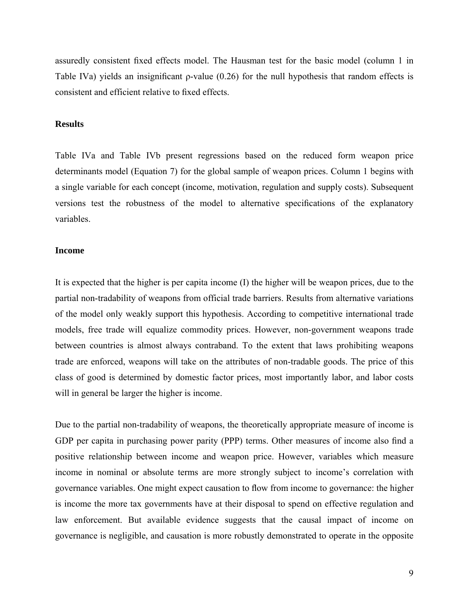assuredly consistent fixed effects model. The Hausman test for the basic model (column 1 in Table IVa) yields an insignificant  $\rho$ -value (0.26) for the null hypothesis that random effects is consistent and efficient relative to fixed effects.

#### **Results**

Table IVa and Table IVb present regressions based on the reduced form weapon price determinants model (Equation 7) for the global sample of weapon prices. Column 1 begins with a single variable for each concept (income, motivation, regulation and supply costs). Subsequent versions test the robustness of the model to alternative specifications of the explanatory variables.

#### **Income**

It is expected that the higher is per capita income (I) the higher will be weapon prices, due to the partial non-tradability of weapons from official trade barriers. Results from alternative variations of the model only weakly support this hypothesis. According to competitive international trade models, free trade will equalize commodity prices. However, non-government weapons trade between countries is almost always contraband. To the extent that laws prohibiting weapons trade are enforced, weapons will take on the attributes of non-tradable goods. The price of this class of good is determined by domestic factor prices, most importantly labor, and labor costs will in general be larger the higher is income.

Due to the partial non-tradability of weapons, the theoretically appropriate measure of income is GDP per capita in purchasing power parity (PPP) terms. Other measures of income also find a positive relationship between income and weapon price. However, variables which measure income in nominal or absolute terms are more strongly subject to income's correlation with governance variables. One might expect causation to flow from income to governance: the higher is income the more tax governments have at their disposal to spend on effective regulation and law enforcement. But available evidence suggests that the causal impact of income on governance is negligible, and causation is more robustly demonstrated to operate in the opposite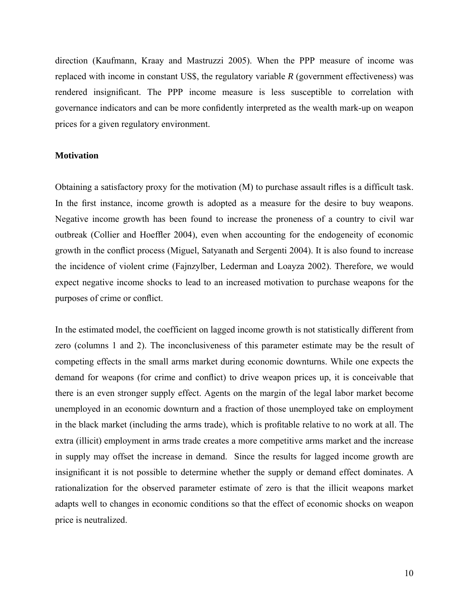direction (Kaufmann, Kraay and Mastruzzi 2005). When the PPP measure of income was replaced with income in constant US\$, the regulatory variable *R* (government effectiveness) was rendered insignificant. The PPP income measure is less susceptible to correlation with governance indicators and can be more confidently interpreted as the wealth mark-up on weapon prices for a given regulatory environment.

#### **Motivation**

Obtaining a satisfactory proxy for the motivation (M) to purchase assault rifles is a difficult task. In the first instance, income growth is adopted as a measure for the desire to buy weapons. Negative income growth has been found to increase the proneness of a country to civil war outbreak (Collier and Hoeffler 2004), even when accounting for the endogeneity of economic growth in the conflict process (Miguel, Satyanath and Sergenti 2004). It is also found to increase the incidence of violent crime (Fajnzylber, Lederman and Loayza 2002). Therefore, we would expect negative income shocks to lead to an increased motivation to purchase weapons for the purposes of crime or conflict.

In the estimated model, the coefficient on lagged income growth is not statistically different from zero (columns 1 and 2). The inconclusiveness of this parameter estimate may be the result of competing effects in the small arms market during economic downturns. While one expects the demand for weapons (for crime and conflict) to drive weapon prices up, it is conceivable that there is an even stronger supply effect. Agents on the margin of the legal labor market become unemployed in an economic downturn and a fraction of those unemployed take on employment in the black market (including the arms trade), which is profitable relative to no work at all. The extra (illicit) employment in arms trade creates a more competitive arms market and the increase in supply may offset the increase in demand. Since the results for lagged income growth are insignificant it is not possible to determine whether the supply or demand effect dominates. A rationalization for the observed parameter estimate of zero is that the illicit weapons market adapts well to changes in economic conditions so that the effect of economic shocks on weapon price is neutralized.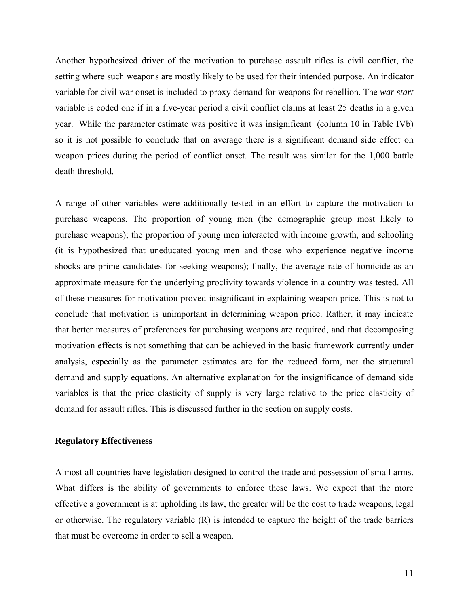Another hypothesized driver of the motivation to purchase assault rifles is civil conflict, the setting where such weapons are mostly likely to be used for their intended purpose. An indicator variable for civil war onset is included to proxy demand for weapons for rebellion. The *war start* variable is coded one if in a five-year period a civil conflict claims at least 25 deaths in a given year. While the parameter estimate was positive it was insignificant (column 10 in Table IVb) so it is not possible to conclude that on average there is a significant demand side effect on weapon prices during the period of conflict onset. The result was similar for the 1,000 battle death threshold.

A range of other variables were additionally tested in an effort to capture the motivation to purchase weapons. The proportion of young men (the demographic group most likely to purchase weapons); the proportion of young men interacted with income growth, and schooling (it is hypothesized that uneducated young men and those who experience negative income shocks are prime candidates for seeking weapons); finally, the average rate of homicide as an approximate measure for the underlying proclivity towards violence in a country was tested. All of these measures for motivation proved insignificant in explaining weapon price. This is not to conclude that motivation is unimportant in determining weapon price. Rather, it may indicate that better measures of preferences for purchasing weapons are required, and that decomposing motivation effects is not something that can be achieved in the basic framework currently under analysis, especially as the parameter estimates are for the reduced form, not the structural demand and supply equations. An alternative explanation for the insignificance of demand side variables is that the price elasticity of supply is very large relative to the price elasticity of demand for assault rifles. This is discussed further in the section on supply costs.

#### **Regulatory Effectiveness**

Almost all countries have legislation designed to control the trade and possession of small arms. What differs is the ability of governments to enforce these laws. We expect that the more effective a government is at upholding its law, the greater will be the cost to trade weapons, legal or otherwise. The regulatory variable (R) is intended to capture the height of the trade barriers that must be overcome in order to sell a weapon.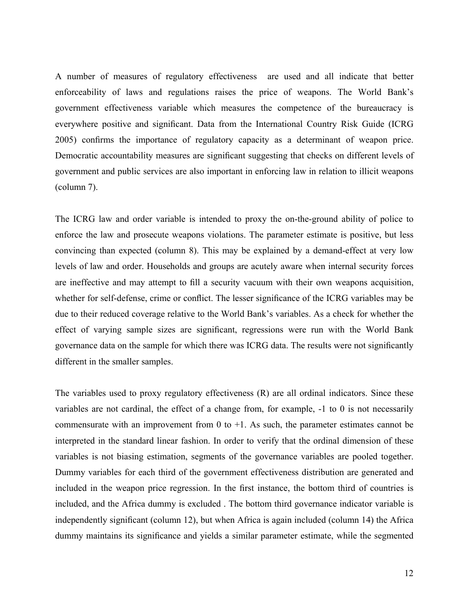A number of measures of regulatory effectiveness are used and all indicate that better enforceability of laws and regulations raises the price of weapons. The World Bank's government effectiveness variable which measures the competence of the bureaucracy is everywhere positive and significant. Data from the International Country Risk Guide (ICRG 2005) confirms the importance of regulatory capacity as a determinant of weapon price. Democratic accountability measures are significant suggesting that checks on different levels of government and public services are also important in enforcing law in relation to illicit weapons (column 7).

The ICRG law and order variable is intended to proxy the on-the-ground ability of police to enforce the law and prosecute weapons violations. The parameter estimate is positive, but less convincing than expected (column 8). This may be explained by a demand-effect at very low levels of law and order. Households and groups are acutely aware when internal security forces are ineffective and may attempt to fill a security vacuum with their own weapons acquisition, whether for self-defense, crime or conflict. The lesser significance of the ICRG variables may be due to their reduced coverage relative to the World Bank's variables. As a check for whether the effect of varying sample sizes are significant, regressions were run with the World Bank governance data on the sample for which there was ICRG data. The results were not significantly different in the smaller samples.

The variables used to proxy regulatory effectiveness (R) are all ordinal indicators. Since these variables are not cardinal, the effect of a change from, for example, -1 to 0 is not necessarily commensurate with an improvement from 0 to  $+1$ . As such, the parameter estimates cannot be interpreted in the standard linear fashion. In order to verify that the ordinal dimension of these variables is not biasing estimation, segments of the governance variables are pooled together. Dummy variables for each third of the government effectiveness distribution are generated and included in the weapon price regression. In the first instance, the bottom third of countries is included, and the Africa dummy is excluded . The bottom third governance indicator variable is independently significant (column 12), but when Africa is again included (column 14) the Africa dummy maintains its significance and yields a similar parameter estimate, while the segmented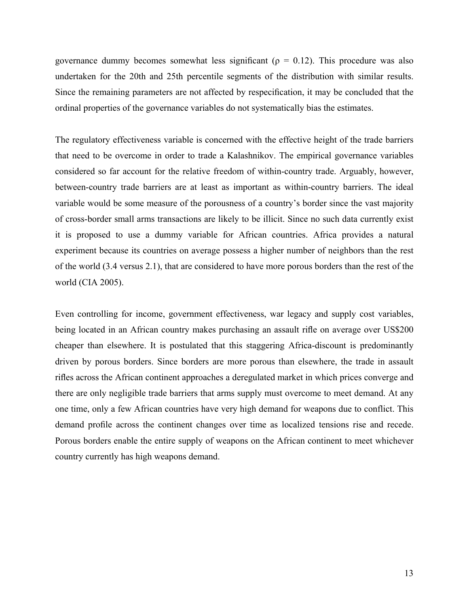governance dummy becomes somewhat less significant ( $\rho = 0.12$ ). This procedure was also undertaken for the 20th and 25th percentile segments of the distribution with similar results. Since the remaining parameters are not affected by respecification, it may be concluded that the ordinal properties of the governance variables do not systematically bias the estimates.

The regulatory effectiveness variable is concerned with the effective height of the trade barriers that need to be overcome in order to trade a Kalashnikov. The empirical governance variables considered so far account for the relative freedom of within-country trade. Arguably, however, between-country trade barriers are at least as important as within-country barriers. The ideal variable would be some measure of the porousness of a country's border since the vast majority of cross-border small arms transactions are likely to be illicit. Since no such data currently exist it is proposed to use a dummy variable for African countries. Africa provides a natural experiment because its countries on average possess a higher number of neighbors than the rest of the world (3.4 versus 2.1), that are considered to have more porous borders than the rest of the world (CIA 2005).

Even controlling for income, government effectiveness, war legacy and supply cost variables, being located in an African country makes purchasing an assault rifle on average over US\$200 cheaper than elsewhere. It is postulated that this staggering Africa-discount is predominantly driven by porous borders. Since borders are more porous than elsewhere, the trade in assault rifles across the African continent approaches a deregulated market in which prices converge and there are only negligible trade barriers that arms supply must overcome to meet demand. At any one time, only a few African countries have very high demand for weapons due to conflict. This demand profile across the continent changes over time as localized tensions rise and recede. Porous borders enable the entire supply of weapons on the African continent to meet whichever country currently has high weapons demand.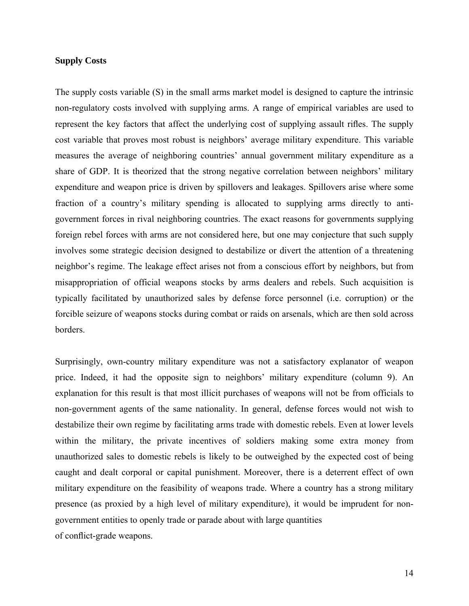#### **Supply Costs**

The supply costs variable (S) in the small arms market model is designed to capture the intrinsic non-regulatory costs involved with supplying arms. A range of empirical variables are used to represent the key factors that affect the underlying cost of supplying assault rifles. The supply cost variable that proves most robust is neighbors' average military expenditure. This variable measures the average of neighboring countries' annual government military expenditure as a share of GDP. It is theorized that the strong negative correlation between neighbors' military expenditure and weapon price is driven by spillovers and leakages. Spillovers arise where some fraction of a country's military spending is allocated to supplying arms directly to antigovernment forces in rival neighboring countries. The exact reasons for governments supplying foreign rebel forces with arms are not considered here, but one may conjecture that such supply involves some strategic decision designed to destabilize or divert the attention of a threatening neighbor's regime. The leakage effect arises not from a conscious effort by neighbors, but from misappropriation of official weapons stocks by arms dealers and rebels. Such acquisition is typically facilitated by unauthorized sales by defense force personnel (i.e. corruption) or the forcible seizure of weapons stocks during combat or raids on arsenals, which are then sold across borders.

Surprisingly, own-country military expenditure was not a satisfactory explanator of weapon price. Indeed, it had the opposite sign to neighbors' military expenditure (column 9). An explanation for this result is that most illicit purchases of weapons will not be from officials to non-government agents of the same nationality. In general, defense forces would not wish to destabilize their own regime by facilitating arms trade with domestic rebels. Even at lower levels within the military, the private incentives of soldiers making some extra money from unauthorized sales to domestic rebels is likely to be outweighed by the expected cost of being caught and dealt corporal or capital punishment. Moreover, there is a deterrent effect of own military expenditure on the feasibility of weapons trade. Where a country has a strong military presence (as proxied by a high level of military expenditure), it would be imprudent for nongovernment entities to openly trade or parade about with large quantities of conflict-grade weapons.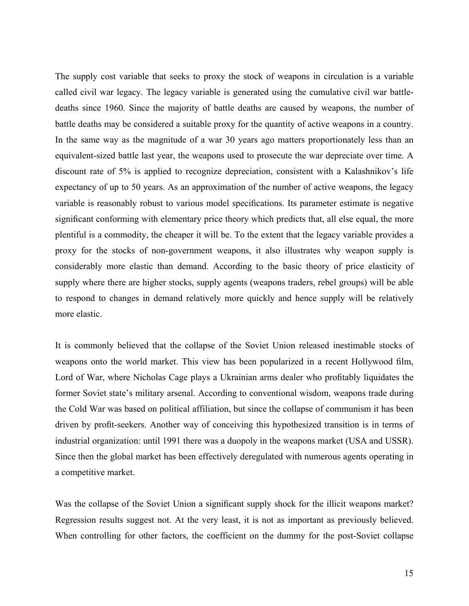The supply cost variable that seeks to proxy the stock of weapons in circulation is a variable called civil war legacy. The legacy variable is generated using the cumulative civil war battledeaths since 1960. Since the majority of battle deaths are caused by weapons, the number of battle deaths may be considered a suitable proxy for the quantity of active weapons in a country. In the same way as the magnitude of a war 30 years ago matters proportionately less than an equivalent-sized battle last year, the weapons used to prosecute the war depreciate over time. A discount rate of 5% is applied to recognize depreciation, consistent with a Kalashnikov's life expectancy of up to 50 years. As an approximation of the number of active weapons, the legacy variable is reasonably robust to various model specifications. Its parameter estimate is negative significant conforming with elementary price theory which predicts that, all else equal, the more plentiful is a commodity, the cheaper it will be. To the extent that the legacy variable provides a proxy for the stocks of non-government weapons, it also illustrates why weapon supply is considerably more elastic than demand. According to the basic theory of price elasticity of supply where there are higher stocks, supply agents (weapons traders, rebel groups) will be able to respond to changes in demand relatively more quickly and hence supply will be relatively more elastic.

It is commonly believed that the collapse of the Soviet Union released inestimable stocks of weapons onto the world market. This view has been popularized in a recent Hollywood film, Lord of War, where Nicholas Cage plays a Ukrainian arms dealer who profitably liquidates the former Soviet state's military arsenal. According to conventional wisdom, weapons trade during the Cold War was based on political affiliation, but since the collapse of communism it has been driven by profit-seekers. Another way of conceiving this hypothesized transition is in terms of industrial organization: until 1991 there was a duopoly in the weapons market (USA and USSR). Since then the global market has been effectively deregulated with numerous agents operating in a competitive market.

Was the collapse of the Soviet Union a significant supply shock for the illicit weapons market? Regression results suggest not. At the very least, it is not as important as previously believed. When controlling for other factors, the coefficient on the dummy for the post-Soviet collapse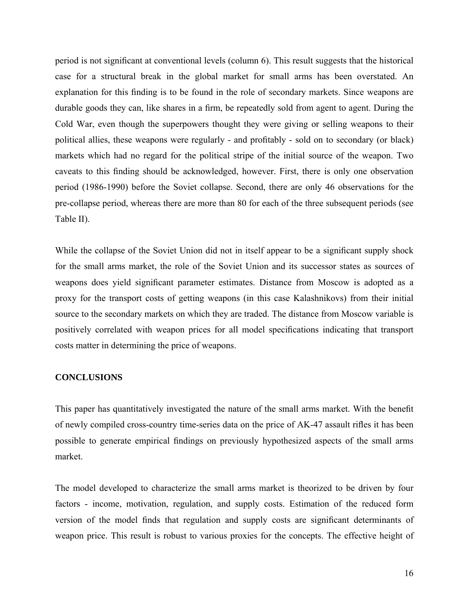period is not significant at conventional levels (column 6). This result suggests that the historical case for a structural break in the global market for small arms has been overstated. An explanation for this finding is to be found in the role of secondary markets. Since weapons are durable goods they can, like shares in a firm, be repeatedly sold from agent to agent. During the Cold War, even though the superpowers thought they were giving or selling weapons to their political allies, these weapons were regularly - and profitably - sold on to secondary (or black) markets which had no regard for the political stripe of the initial source of the weapon. Two caveats to this finding should be acknowledged, however. First, there is only one observation period (1986-1990) before the Soviet collapse. Second, there are only 46 observations for the pre-collapse period, whereas there are more than 80 for each of the three subsequent periods (see Table II).

While the collapse of the Soviet Union did not in itself appear to be a significant supply shock for the small arms market, the role of the Soviet Union and its successor states as sources of weapons does yield significant parameter estimates. Distance from Moscow is adopted as a proxy for the transport costs of getting weapons (in this case Kalashnikovs) from their initial source to the secondary markets on which they are traded. The distance from Moscow variable is positively correlated with weapon prices for all model specifications indicating that transport costs matter in determining the price of weapons.

#### **CONCLUSIONS**

This paper has quantitatively investigated the nature of the small arms market. With the benefit of newly compiled cross-country time-series data on the price of AK-47 assault rifles it has been possible to generate empirical findings on previously hypothesized aspects of the small arms market.

The model developed to characterize the small arms market is theorized to be driven by four factors - income, motivation, regulation, and supply costs. Estimation of the reduced form version of the model finds that regulation and supply costs are significant determinants of weapon price. This result is robust to various proxies for the concepts. The effective height of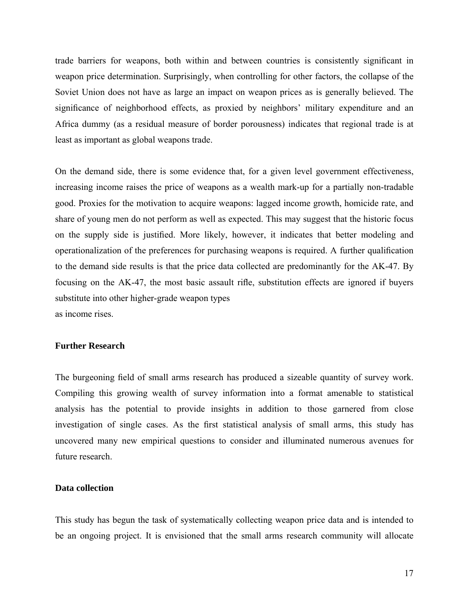trade barriers for weapons, both within and between countries is consistently significant in weapon price determination. Surprisingly, when controlling for other factors, the collapse of the Soviet Union does not have as large an impact on weapon prices as is generally believed. The significance of neighborhood effects, as proxied by neighbors' military expenditure and an Africa dummy (as a residual measure of border porousness) indicates that regional trade is at least as important as global weapons trade.

On the demand side, there is some evidence that, for a given level government effectiveness, increasing income raises the price of weapons as a wealth mark-up for a partially non-tradable good. Proxies for the motivation to acquire weapons: lagged income growth, homicide rate, and share of young men do not perform as well as expected. This may suggest that the historic focus on the supply side is justified. More likely, however, it indicates that better modeling and operationalization of the preferences for purchasing weapons is required. A further qualification to the demand side results is that the price data collected are predominantly for the AK-47. By focusing on the AK-47, the most basic assault rifle, substitution effects are ignored if buyers substitute into other higher-grade weapon types as income rises.

#### **Further Research**

The burgeoning field of small arms research has produced a sizeable quantity of survey work. Compiling this growing wealth of survey information into a format amenable to statistical analysis has the potential to provide insights in addition to those garnered from close investigation of single cases. As the first statistical analysis of small arms, this study has uncovered many new empirical questions to consider and illuminated numerous avenues for future research.

## **Data collection**

This study has begun the task of systematically collecting weapon price data and is intended to be an ongoing project. It is envisioned that the small arms research community will allocate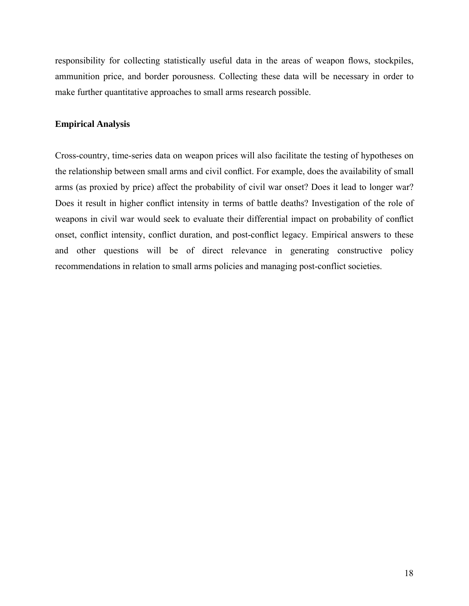responsibility for collecting statistically useful data in the areas of weapon flows, stockpiles, ammunition price, and border porousness. Collecting these data will be necessary in order to make further quantitative approaches to small arms research possible.

## **Empirical Analysis**

Cross-country, time-series data on weapon prices will also facilitate the testing of hypotheses on the relationship between small arms and civil conflict. For example, does the availability of small arms (as proxied by price) affect the probability of civil war onset? Does it lead to longer war? Does it result in higher conflict intensity in terms of battle deaths? Investigation of the role of weapons in civil war would seek to evaluate their differential impact on probability of conflict onset, conflict intensity, conflict duration, and post-conflict legacy. Empirical answers to these and other questions will be of direct relevance in generating constructive policy recommendations in relation to small arms policies and managing post-conflict societies.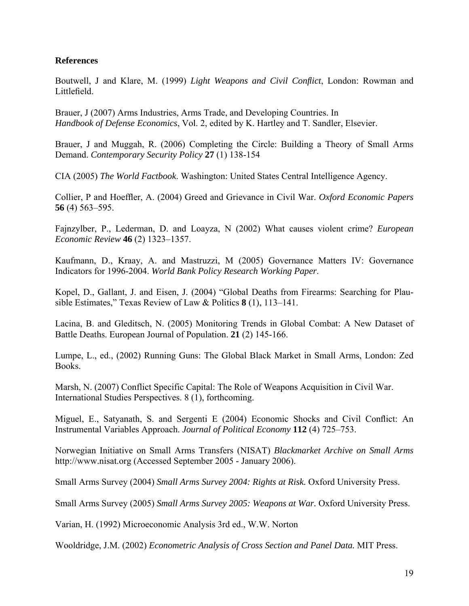## **References**

Boutwell, J and Klare, M. (1999) *Light Weapons and Civil Conflict*, London: Rowman and Littlefield.

Brauer, J (2007) Arms Industries, Arms Trade, and Developing Countries. In *Handbook of Defense Economics*, Vol. 2, edited by K. Hartley and T. Sandler, Elsevier.

Brauer, J and Muggah, R. (2006) Completing the Circle: Building a Theory of Small Arms Demand. *Contemporary Security Policy* **27** (1) 138-154

CIA (2005) *The World Factbook*. Washington: United States Central Intelligence Agency.

Collier, P and Hoeffler, A. (2004) Greed and Grievance in Civil War. *Oxford Economic Papers* **56** (4) 563–595.

Fajnzylber, P., Lederman, D. and Loayza, N (2002) What causes violent crime? *European Economic Review* **46** (2) 1323–1357.

Kaufmann, D., Kraay, A. and Mastruzzi, M (2005) Governance Matters IV: Governance Indicators for 1996-2004. *World Bank Policy Research Working Paper*.

Kopel, D., Gallant, J. and Eisen, J. (2004) "Global Deaths from Firearms: Searching for Plausible Estimates," Texas Review of Law & Politics **8** (1), 113–141.

Lacina, B. and Gleditsch, N. (2005) Monitoring Trends in Global Combat: A New Dataset of Battle Deaths. European Journal of Population. **21** (2) 145-166.

Lumpe, L., ed., (2002) Running Guns: The Global Black Market in Small Arms, London: Zed Books.

Marsh, N. (2007) Conflict Specific Capital: The Role of Weapons Acquisition in Civil War. International Studies Perspectives. 8 (1), forthcoming.

Miguel, E., Satyanath, S. and Sergenti E (2004) Economic Shocks and Civil Conflict: An Instrumental Variables Approach. *Journal of Political Economy* **112** (4) 725–753.

Norwegian Initiative on Small Arms Transfers (NISAT) *Blackmarket Archive on Small Arms*  http://www.nisat.org (Accessed September 2005 - January 2006).

Small Arms Survey (2004) *Small Arms Survey 2004: Rights at Risk.* Oxford University Press.

Small Arms Survey (2005) *Small Arms Survey 2005: Weapons at War.* Oxford University Press.

Varian, H. (1992) Microeconomic Analysis 3rd ed., W.W. Norton

Wooldridge, J.M. (2002) *Econometric Analysis of Cross Section and Panel Data.* MIT Press.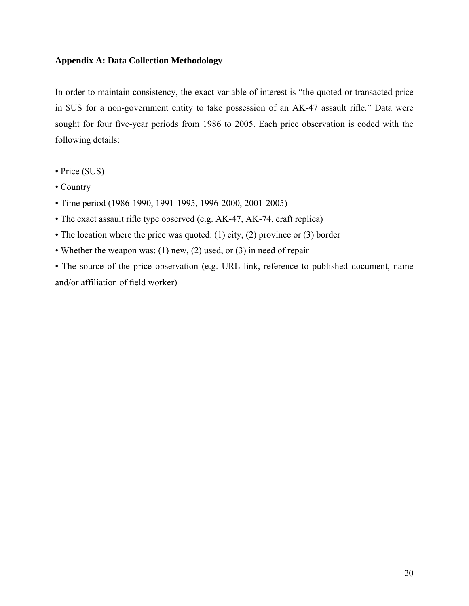## **Appendix A: Data Collection Methodology**

In order to maintain consistency, the exact variable of interest is "the quoted or transacted price in \$US for a non-government entity to take possession of an AK-47 assault rifle." Data were sought for four five-year periods from 1986 to 2005. Each price observation is coded with the following details:

- Price (\$US)
- Country
- Time period (1986-1990, 1991-1995, 1996-2000, 2001-2005)
- The exact assault rifle type observed (e.g. AK-47, AK-74, craft replica)
- The location where the price was quoted: (1) city, (2) province or (3) border
- Whether the weapon was: (1) new, (2) used, or (3) in need of repair

• The source of the price observation (e.g. URL link, reference to published document, name and/or affiliation of field worker)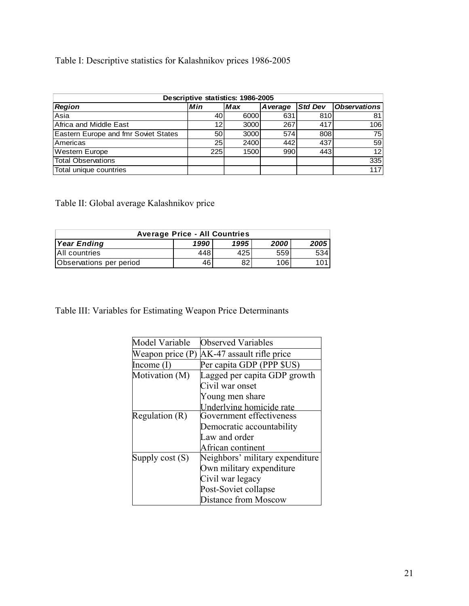# Table I: Descriptive statistics for Kalashnikov prices 1986-2005

| Descriptive statistics: 1986-2005           |                 |            |          |                |                     |  |  |  |
|---------------------------------------------|-----------------|------------|----------|----------------|---------------------|--|--|--|
| <b>Region</b>                               | Min             | <b>Max</b> | A verage | <b>Std Dev</b> | <b>Observations</b> |  |  |  |
| Asia                                        | 40              | 6000       | 631      | 810            | 81                  |  |  |  |
| Africa and Middle East                      | 12 <sub>l</sub> | 3000       | 267      | 417            | 106                 |  |  |  |
| <b>Eastern Europe and fmr Soviet States</b> | 50              | 3000       | 574      | 808            | 75                  |  |  |  |
| Americas                                    | 25              | 2400       | 442      | 437            | 59                  |  |  |  |
| <b>Western Europe</b>                       | 225             | 1500       | 990      | 443            | 12 <sup>1</sup>     |  |  |  |
| Total Observations                          |                 |            |          |                | 335                 |  |  |  |
| Total unique countries                      |                 |            |          |                | 117                 |  |  |  |

Table II: Global average Kalashnikov price

| <b>Average Price - All Countries</b>               |     |     |     |     |  |  |  |  |
|----------------------------------------------------|-----|-----|-----|-----|--|--|--|--|
| 2005<br>1995<br>1990<br>2000<br><b>Year Ending</b> |     |     |     |     |  |  |  |  |
| All countries                                      | 448 | 425 | 559 | 534 |  |  |  |  |
| Observations per period                            | 46  | 82  | 106 | 101 |  |  |  |  |

Table III: Variables for Estimating Weapon Price Determinants

| Model Variable     | <b>Observed Variables</b>       |
|--------------------|---------------------------------|
| Weapon price $(P)$ | AK-47 assault rifle price       |
| Income $(I)$       | Per capita GDP (PPP \$US)       |
| Motivation (M)     | Lagged per capita GDP growth    |
|                    | Civil war onset                 |
|                    | Young men share                 |
|                    | Underlying homicide rate        |
| Regulation (R)     | Government effectiveness        |
|                    | Democratic accountability       |
|                    | Law and order                   |
|                    | African continent               |
| Supply $cost(S)$   | Neighbors' military expenditure |
|                    | Own military expenditure        |
|                    | Civil war legacy                |
|                    | Post-Soviet collapse            |
|                    | <b>Distance from Moscow</b>     |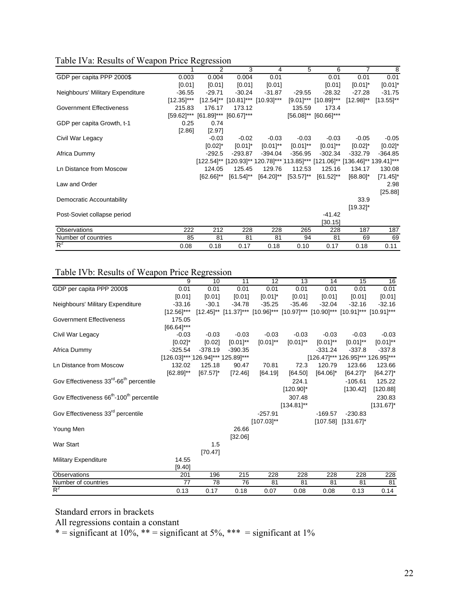|  |  | Table IVa: Results of Weapon Price Regression |  |  |
|--|--|-----------------------------------------------|--|--|
|  |  |                                               |  |  |

|                                  |                 | $\overline{2}$                   | 3              | 4                                                                            | 5             | 6                          | 7              | 8                      |
|----------------------------------|-----------------|----------------------------------|----------------|------------------------------------------------------------------------------|---------------|----------------------------|----------------|------------------------|
| GDP per capita PPP 2000\$        | 0.003           | 0.004                            | 0.004          | 0.01                                                                         |               | 0.01                       | 0.01           | 0.01                   |
|                                  | [0.01]          | [0.01]                           | [0.01]         | [0.01]                                                                       |               | [0.01]                     | $[0.01]$ *     | $[0.01]$ *             |
| Neighbours' Military Expenditure | $-36.55$        | $-29.71$                         | $-30.24$       | $-31.87$                                                                     | $-29.55$      | $-28.32$                   | $-27.28$       | $-31.75$               |
|                                  | $[12.35]^{***}$ |                                  |                | $[12.54]^{**}$ $[10.81]^{***}$ $[10.93]^{***}$                               |               | $[9.01]$ *** $[10.89]$ *** | $[12.98]^{**}$ | $[13.55]^{**}$         |
| <b>Government Effectiveness</b>  | 215.83          | 176.17                           | 173.12         |                                                                              | 135.59        | 173.4                      |                |                        |
|                                  |                 | [59.62]*** [61.89]*** [60.67]*** |                |                                                                              |               | $[56.08]^{**}$ [60.66]***  |                |                        |
| GDP per capita Growth, t-1       | 0.25            | 0.74                             |                |                                                                              |               |                            |                |                        |
|                                  | [2.86]          | [2.97]                           |                |                                                                              |               |                            |                |                        |
| Civil War Legacy                 |                 | $-0.03$                          | $-0.02$        | $-0.03$                                                                      | $-0.03$       | $-0.03$                    | $-0.05$        | $-0.05$                |
|                                  |                 | $[0.02]$ *                       | $[0.01]^{*}$   | $[0.01]^{**}$                                                                | $[0.01]^{**}$ | $[0.01]^{**}$              | $[0.02]^{*}$   | $[0.02]$ *             |
| Africa Dummy                     |                 | $-292.5$                         | $-293.87$      | $-394.04$                                                                    | $-356.95$     | $-302.34$                  | $-332.79$      | $-364.85$              |
|                                  |                 |                                  |                | [122.54]** [120.93]** 120.78]*** 113.85]*** [121.06]** [136.46]** 139.41]*** |               |                            |                |                        |
| Ln Distance from Moscow          |                 | 124.05                           | 125.45         | 129.76                                                                       | 112.53        | 125.16                     | 134.17         | 130.08                 |
|                                  |                 | $[62.66]^{**}$                   | $[61.54]^{**}$ | [64.20]**                                                                    | [53.57]**     | $[61.52]^{**}$             | $[68.80]$ *    | $[71.45]$ <sup>*</sup> |
| Law and Order                    |                 |                                  |                |                                                                              |               |                            |                | 2.98                   |
|                                  |                 |                                  |                |                                                                              |               |                            |                | [25.88]                |
| Democratic Accountability        |                 |                                  |                |                                                                              |               |                            | 33.9           |                        |
|                                  |                 |                                  |                |                                                                              |               |                            | $[19.32]$ *    |                        |
| Post-Soviet collapse period      |                 |                                  |                |                                                                              |               | $-41.42$                   |                |                        |
|                                  |                 |                                  |                |                                                                              |               | [30.15]                    |                |                        |
| <b>Observations</b>              | 222             | 212                              | 228            | 228                                                                          | 265           | 228                        | 187            | 187                    |
| Number of countries<br>$R^2$     | 85              | 81                               | 81             | 81                                                                           | 94            | 81                         | 69             | 69                     |
|                                  | 0.08            | 0.18                             | 0.17           | 0.18                                                                         | 0.10          | 0.17                       | 0.18           | 0.11                   |

## Table IVb: Results of Weapon Price Regression

|                                                                  | 9                                 | 10          | 11            | 12              | 13                                                                                                             | 14                                | 15                 | 16                     |
|------------------------------------------------------------------|-----------------------------------|-------------|---------------|-----------------|----------------------------------------------------------------------------------------------------------------|-----------------------------------|--------------------|------------------------|
| GDP per capita PPP 2000\$                                        | 0.01                              | 0.01        | 0.01          | 0.01            | 0.01                                                                                                           | 0.01                              | 0.01               | 0.01                   |
|                                                                  | [0.01]                            | [0.01]      | [0.01]        | $[0.01]^{*}$    | [0.01]                                                                                                         | [0.01]                            | [0.01]             | [0.01]                 |
| Neighbours' Military Expenditure                                 | $-33.16$                          | $-30.1$     | $-34.78$      | $-35.25$        | $-35.46$                                                                                                       | $-32.04$                          | $-32.16$           | $-32.16$               |
|                                                                  | $[12.56]$ ***                     |             |               |                 | $[12.45]^{**}$ $[11.37]^{***}$ $[10.96]^{***}$ $[10.97]^{***}$ $[10.90]^{***}$ $[10.91]^{***}$ $[10.91]^{***}$ |                                   |                    |                        |
| Government Effectiveness                                         | 175.05                            |             |               |                 |                                                                                                                |                                   |                    |                        |
|                                                                  | $[66.64]$ ***                     |             |               |                 |                                                                                                                |                                   |                    |                        |
| Civil War Legacy                                                 | $-0.03$                           | $-0.03$     | $-0.03$       | $-0.03$         | $-0.03$                                                                                                        | $-0.03$                           | $-0.03$            | $-0.03$                |
|                                                                  | $[0.02]$ *                        | [0.02]      | $[0.01]^{**}$ | $[0.01]^{**}$   | $[0.01]^{**}$                                                                                                  | $[0.01]^{**}$                     | $[0.01]^{**}$      | $[0.01]^{**}$          |
| Africa Dummy                                                     | $-325.54$                         | $-378.19$   | $-390.35$     |                 |                                                                                                                | $-331.24$                         | $-337.8$           | $-337.8$               |
|                                                                  | [126.03]*** 126.94]*** 125.89]*** |             |               |                 |                                                                                                                | [126.47]*** 126.95]*** 126.95]*** |                    |                        |
| Ln Distance from Moscow                                          | 132.02                            | 125.18      | 90.47         | 70.81           | 72.3                                                                                                           | 120.79                            | 123.66             | 123.66                 |
|                                                                  | $[62.89]^{**}$                    | $[67.57]$ * | [72.46]       | [64.19]         | [64.50]                                                                                                        | $[64.06]$ *                       | $[64.27]$ *        | $[64.27]$ <sup>*</sup> |
| Gov Effectiveness 33 <sup>rd</sup> -66 <sup>th</sup> percentile  |                                   |             |               |                 | 224.1                                                                                                          |                                   | $-105.61$          | 125.22                 |
|                                                                  |                                   |             |               |                 | $[120.90]^{*}$                                                                                                 |                                   | [130.42]           | [120.88]               |
| Gov Effectiveness 66 <sup>th</sup> -100 <sup>th</sup> percentile |                                   |             |               |                 | 307.48                                                                                                         |                                   |                    | 230.83                 |
|                                                                  |                                   |             |               |                 | $[134.81]^{**}$                                                                                                |                                   |                    | $[131.67]$ *           |
| Gov Effectiveness 33rd percentile                                |                                   |             |               | $-257.91$       |                                                                                                                | $-169.57$                         | $-230.83$          |                        |
|                                                                  |                                   |             |               | $[107.03]^{**}$ |                                                                                                                |                                   | [107.58] [131.67]* |                        |
| Young Men                                                        |                                   |             | 26.66         |                 |                                                                                                                |                                   |                    |                        |
|                                                                  |                                   |             | [32.06]       |                 |                                                                                                                |                                   |                    |                        |
| War Start                                                        |                                   | 1.5         |               |                 |                                                                                                                |                                   |                    |                        |
|                                                                  |                                   | [70.47]     |               |                 |                                                                                                                |                                   |                    |                        |
| <b>Military Expenditure</b>                                      | 14.55                             |             |               |                 |                                                                                                                |                                   |                    |                        |
|                                                                  | [9.40]                            |             |               |                 |                                                                                                                |                                   |                    |                        |
| Observations                                                     | 201                               | 196         | 215           | 228             | 228                                                                                                            | 228                               | 228                | 228                    |
| Number of countries                                              | 77                                | 78          | 76            | 81              | 81                                                                                                             | 81                                | 81                 | 81                     |
| $R^2$                                                            | 0.13                              | 0.17        | 0.18          | 0.07            | 0.08                                                                                                           | 0.08                              | 0.13               | 0.14                   |

Standard errors in brackets

All regressions contain a constant

\* = significant at  $10\%$ , \*\* = significant at  $5\%$ , \*\*\* = significant at  $1\%$